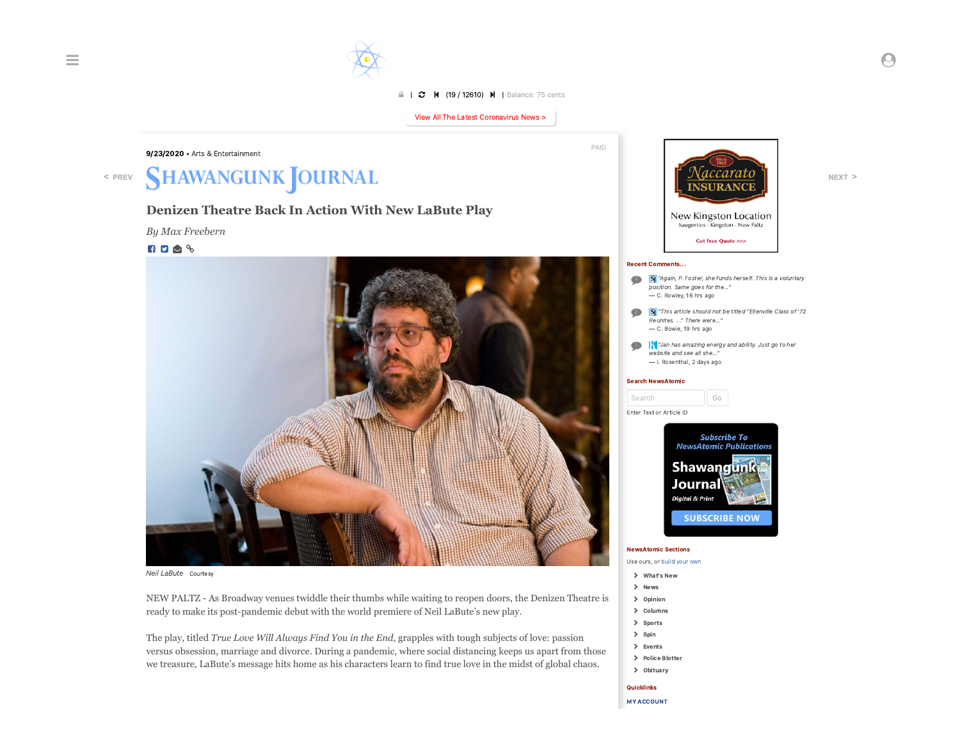# $\equiv$   $\sim$  0

## | (19 /12610) | Balance: 75 cents

View All The Latest [Coronavirus](https://newsatomic.com/s/covid-19) News >

PAID

### 9/23/2020 • Arts & Entertainment

# **SHAWANGUNK JOURNAL < PREV**

# **Denizen Theatre Back In Action With New LaBute Play**

## *By Max Freebern*



Neil LaBute Courtesy

NEW PALTZ - As Broadway venues twiddle their thumbs while waiting to reopen doors, the Denizen Theatre is ready to make its post-pandemic debut with the world premiere of Neil LaBute's new play.

The play, titled *True Love Will Always Find You in the End*, grapples with tough subjects of love: passion versus obsession, marriage and divorce. During a pandemic, where social distancing keeps us apart from those we treasure, LaBute's message hits home as his characters learn to find true love in the midst of global chaos.



Quicklinks MY [ACCOUNT](https://newsatomic.com/account)